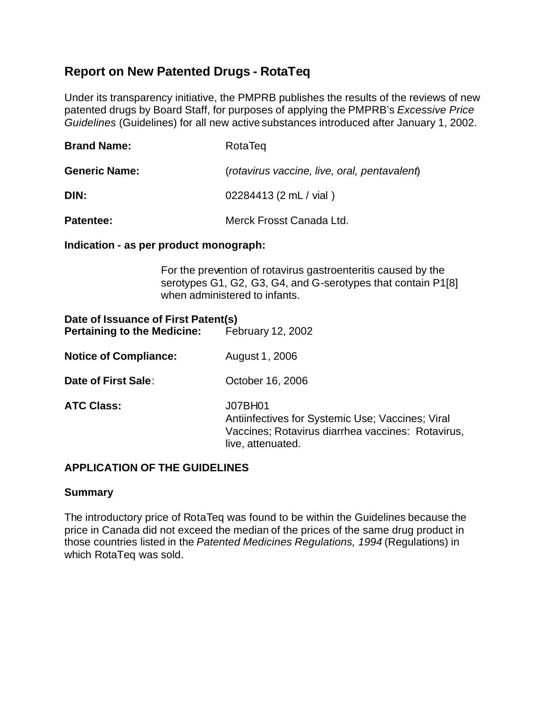# **Report on New Patented Drugs - RotaTeq**

Under its transparency initiative, the PMPRB publishes the results of the reviews of new patented drugs by Board Staff, for purposes of applying the PMPRB's *Excessive Price Guidelines* (Guidelines) for all new active substances introduced after January 1, 2002.

| <b>Brand Name:</b>   | RotaTeg                                      |
|----------------------|----------------------------------------------|
| <b>Generic Name:</b> | (rotavirus vaccine, live, oral, pentavalent) |
| DIN:                 | 02284413 (2 mL / vial)                       |
| Patentee:            | Merck Frosst Canada Ltd.                     |

### **Indication - as per product monograph:**

For the prevention of rotavirus gastroenteritis caused by the serotypes G1, G2, G3, G4, and G-serotypes that contain P1[8] when administered to infants.

| Date of Issuance of First Patent(s)<br><b>Pertaining to the Medicine:</b> | February 12, 2002                                                                                                                     |
|---------------------------------------------------------------------------|---------------------------------------------------------------------------------------------------------------------------------------|
| <b>Notice of Compliance:</b>                                              | August 1, 2006                                                                                                                        |
| Date of First Sale:                                                       | October 16, 2006                                                                                                                      |
| <b>ATC Class:</b>                                                         | J07BH01<br>Antiinfectives for Systemic Use; Vaccines; Viral<br>Vaccines; Rotavirus diarrhea vaccines: Rotavirus,<br>live, attenuated. |

## **APPLICATION OF THE GUIDELINES**

## **Summary**

The introductory price of RotaTeq was found to be within the Guidelines because the price in Canada did not exceed the median of the prices of the same drug product in those countries listed in the *Patented Medicines Regulations, 1994* (Regulations) in which RotaTeq was sold.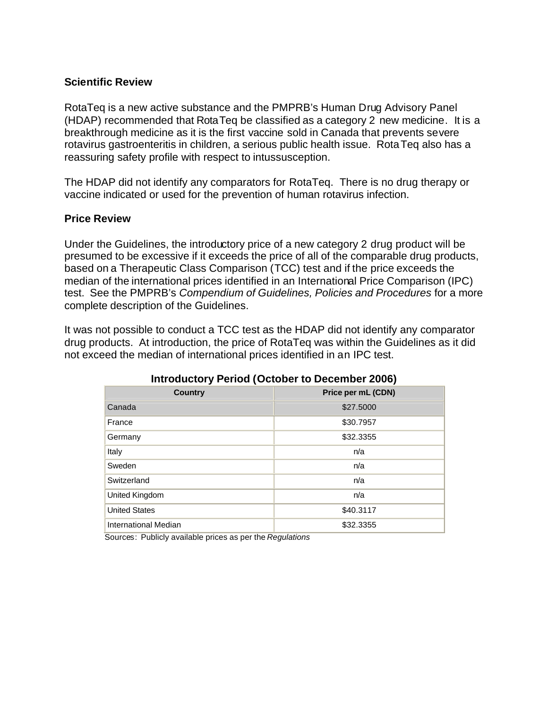### **Scientific Review**

RotaTeq is a new active substance and the PMPRB's Human Drug Advisory Panel (HDAP) recommended that RotaTeq be classified as a category 2 new medicine. It is a breakthrough medicine as it is the first vaccine sold in Canada that prevents severe rotavirus gastroenteritis in children, a serious public health issue. RotaTeq also has a reassuring safety profile with respect to intussusception.

The HDAP did not identify any comparators for RotaTeq. There is no drug therapy or vaccine indicated or used for the prevention of human rotavirus infection.

### **Price Review**

Under the Guidelines, the introductory price of a new category 2 drug product will be presumed to be excessive if it exceeds the price of all of the comparable drug products, based on a Therapeutic Class Comparison (TCC) test and if the price exceeds the median of the international prices identified in an International Price Comparison (IPC) test. See the PMPRB's *Compendium of Guidelines, Policies and Procedures* for a more complete description of the Guidelines.

It was not possible to conduct a TCC test as the HDAP did not identify any comparator drug products. At introduction, the price of RotaTeq was within the Guidelines as it did not exceed the median of international prices identified in an IPC test.

| $1.111$ causion $\frac{1}{2}$ . Chock (Colored to Deconnect Ecoc) |                    |  |
|-------------------------------------------------------------------|--------------------|--|
| <b>Country</b>                                                    | Price per mL (CDN) |  |
| Canada                                                            | \$27.5000          |  |
| France                                                            | \$30.7957          |  |
| Germany                                                           | \$32.3355          |  |
| Italy                                                             | n/a                |  |
| Sweden                                                            | n/a                |  |
| Switzerland                                                       | n/a                |  |
| United Kingdom                                                    | n/a                |  |
| <b>United States</b>                                              | \$40.3117          |  |
| <b>International Median</b>                                       | \$32.3355          |  |

## **Introductory Period (October to December 2006)**

Sources: Publicly available prices as per the *Regulations*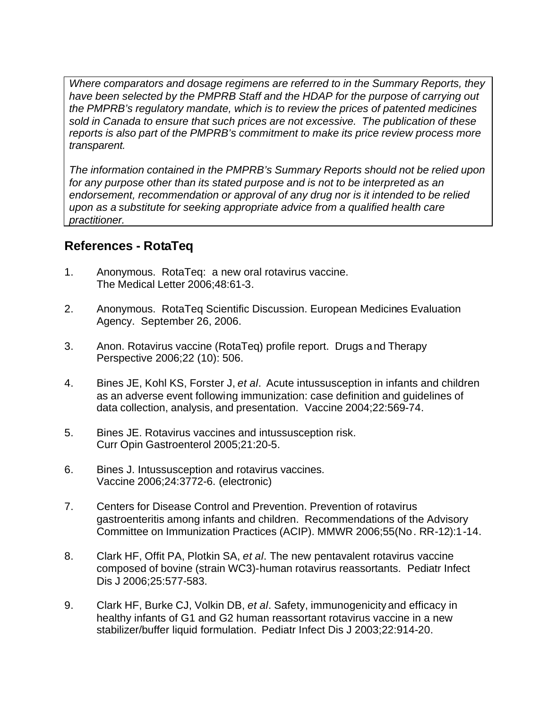*Where comparators and dosage regimens are referred to in the Summary Reports, they have been selected by the PMPRB Staff and the HDAP for the purpose of carrying out the PMPRB's regulatory mandate, which is to review the prices of patented medicines sold in Canada to ensure that such prices are not excessive. The publication of these reports is also part of the PMPRB's commitment to make its price review process more transparent.*

*The information contained in the PMPRB's Summary Reports should not be relied upon for any purpose other than its stated purpose and is not to be interpreted as an endorsement, recommendation or approval of any drug nor is it intended to be relied upon as a substitute for seeking appropriate advice from a qualified health care practitioner.*

# **References - RotaTeq**

- 1. Anonymous. RotaTeq: a new oral rotavirus vaccine. The Medical Letter 2006;48:61-3.
- 2. Anonymous. RotaTeq Scientific Discussion. European Medicines Evaluation Agency. September 26, 2006.
- 3. Anon. Rotavirus vaccine (RotaTeq) profile report. Drugs and Therapy Perspective 2006;22 (10): 506.
- 4. Bines JE, Kohl KS, Forster J, *et al*. Acute intussusception in infants and children as an adverse event following immunization: case definition and guidelines of data collection, analysis, and presentation. Vaccine 2004;22:569-74.
- 5. Bines JE. Rotavirus vaccines and intussusception risk. Curr Opin Gastroenterol 2005;21:20-5.
- 6. Bines J. Intussusception and rotavirus vaccines. Vaccine 2006;24:3772-6. (electronic)
- 7. Centers for Disease Control and Prevention. Prevention of rotavirus gastroenteritis among infants and children. Recommendations of the Advisory Committee on Immunization Practices (ACIP). MMWR 2006;55(No. RR-12):1-14.
- 8. Clark HF, Offit PA, Plotkin SA, *et al*. The new pentavalent rotavirus vaccine composed of bovine (strain WC3)-human rotavirus reassortants. Pediatr Infect Dis J 2006;25:577-583.
- 9. Clark HF, Burke CJ, Volkin DB, *et al*. Safety, immunogenicity and efficacy in healthy infants of G1 and G2 human reassortant rotavirus vaccine in a new stabilizer/buffer liquid formulation. Pediatr Infect Dis J 2003;22:914-20.